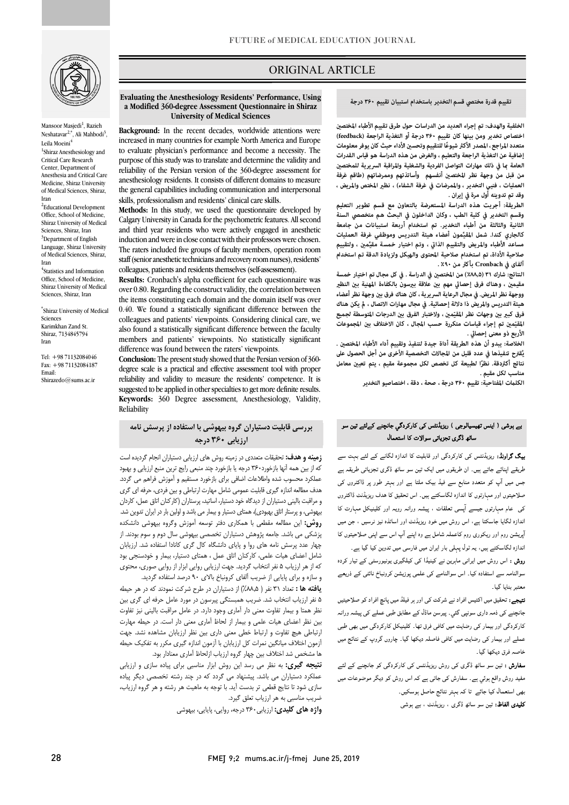

Mansoor Masjedi<sup>1</sup>, Razieh Neshatavar<sup>2,\*</sup>, Ali Mahbodi<sup>3</sup>, Leila Moeini $^4$ <sup>1</sup>Shiraz Anesthesiology and Critical Care Research Center, Department of Anesthesia and Critical Care Medicine, Shiraz University of Medical Sciences, Shiraz, Iran

<sup>2</sup>Educational Development Office, School of Medicine, Shiraz University of Medical Sciences, Shiraz, Iran <sup>3</sup>Department of English Language, Shiraz University of Medical Sciences, Shiraz, Iran <sup>4</sup>Statistics and Information Office, School of Medicine, Shiraz University of Medical Sciences, Shiraz, Iran

\* Shiraz University of Medical Sciences Karimkhan Zand St. Shiraz, 7134845794 Iran

Tel: +98 71132084046 Fax: +98 71132084187 Email: Shirazedo@sums.ac.ir

# ORIGINAL ARTICLE

**تقييم قدرة مختصي قسم التخدير باستخدام استبيان تقييم ۳۶۰ درجة**

ص

 **الخلفية والهدف: تم إجراء العديد من الدراسات حول طرق تقييم الأطباء المختص ً متعدد المراجع ، المصدر الأك شيوعا للتقييم وتحس الأداء حيث كان يوفر معلومات إضافية عن التغذية الراجعة والتعليم ، والغرض من هذه الدراسة هو قياس القدرات من قبل من وجهة نظر المختص أنفسهم وأساتذتهم وممرضاتهم (طاقم غرفة العمليات ، فنيي التخدير ، والممرضات في غرفة الشفاء) ، نظ المختص والمريض ، وقد تم تدوينه أول مرة في إيران . اختصاص تخدير ومن بينها كان تقييم ۳۶۰ درجة أو التغذية الراجعة (feedback(** العامة <sub>ب</sub>ما في ذلك مهارات التواصل الفردية والشغلية والمراقبة السريرية للمختصين

 **وقسم التخدير في كلية الطب ، وكان الداخلون في البحث هم متخصصي السنة الثانية والثالثة من أطباء التخدير. تم استخدام أربعة استبيانات من جامعة**  حاجاري حمد. سمن المستوى احتماد ميند اسدريس وموضعي حرب احتسبت<br>مساعد الأطباء والمريض والتقييم الذاتي ، وتم اختيار خمسة مقيَّمين ، ولتقييم **صلاحية الأداة، تم استخدام صلاحية المحتوى والهيكل ولزيادة الدقة تم استخدام آلفاى في Cronbach بأك من ٪۹۰ . الطريقة: أجريت هذه الدراسة المستعرضة بالتعاون مع قسم تطوير التعليم**  كالجاري كندا. شمل المقيِّمون أعضاء هيئة التدريس وموظفي غرفة العمليات

س بي سبب على المعنى وسبب علاقة بيرسون بالكفاءة المهنية بين النظير<br>مقيمين ، وهناك فرق إحصائي مهم بين علاقة بيرسون بالكفاءة المهنية بين النظير ووجهة نظر المريض. في مجال الرعاية السريرية ، كان هناك فرق بين وجهة نظر أعضاء **هيئة التدريس والمريض ذا دلالة إحصائية. في مجال مهارات الاتصال ، يكن هناك**  المقيّمين تم إجراء قياسات متكررة حسب المجال ، كان الاختلاف بين المجموعات الأربع ذو معنى إحصائي .<br>. **النتائج: شارك ۳۱ (٪۸۸٫۵) من المختص في الدراسة . في كل مجال تم اختيار خمسة**  فرق كب<u>ر</u> بين وجهات نظر المقيّمين ، ولاختبار الفرق بين الدرجات المتوسطة لجميع

 **ُقترح تنفيذها في عدد قليل من المجالات التخصصية الأخرى من أجل الحصول على ي** نتائج أكثردقة. نظرًا لطبيعة كل تخصص لكل مجموعة مقيم ، يتم تعيين معامل الخلاصة: يبدو أن هذه الطريقة أداة جيدة لتنفيذ وتقييم أداء الأطباء المختصين . **مناسب لكل مقيم .**

**الكلت المفتاحية: تقييم ۳۶۰ درجة ، صحة ، دقة ، اختصاصيو التخدير**

# ے ہوشی ( اینس تھیسیالوجی ) ریزیڈنٹس کی کارکردگیِ جانچنے کےلئے تین سو .<br>ساتھ ڈگری تجزیاتی سوالات کا استعمال

**ییگ گراونڈ:** ریزیڈنٹس کی کارکردگی اور قابلیت کا اندازہ لگانے کے لئے بہت سے<br>۔ طریقے اپنائے جاتے ہیں۔ ان طریقوں میں ایک تین سو ساٹھ ڈگری تجزیاتی طریقہ ہے<br>۔۔۔۔۔۔۔۔۔۔۔ جس میں آپ کو متعدد منابع سے فیڈ بیک ملتا ہے اور بہتر طور پر ڈاکٹروں کی<br>۔ م رں آ ت ، ورا رو اور رت ے مسلم کے سامنے کے لیے اس روش میں خود ریزیڈنٹ اور اساتذہ نیز نرسیں ، جن میں<br>اندازہ لگایا جاسکتا ہے، اس روش میں خود ریزیڈنٹ اور اساتذہ نیز نرسیں ، جن میں ۔<br>اپریشن روم اور ریکوری روم کاعملہ شامل ہے وہ اپنے آپ اس سے اپن*ی ص*لاحیتوں کا اندازہ لگاسکتے ہیں، یہ ٹول پہلی بار ایران میں فارسی میں تدوین کیا گیا ہے۔ ر**وش :** اس روش میں ایرانی ماہرین نے کینیڈا کی کیلگیری یونیورسٹی کے تیار کردہ سوالنامہ سے استفادہ کیا۔ اس سوالنامے کی علمی پوزیشن کرونباخ نائٹی کے ذریعے صلاحیتوں اور مہارتوں کا اندازہ لگاسکتے ہیں۔ اس تحقیق کا ہدف ریزیڈنٹ ڈاکٹروں

معتبر بنایا گیا۔

**تیجے:** تحقیق میں اکتیس افراد نے شرکت کی اور ہر فیلڈ میں پانچ افراد کو صلاحیتیں جانچنے کی ذمہ داری سونپی گئی۔ پیرسن ماڈل کے مطابق طبی عملے کی پیشہ ورانہ کارکردگی اور بیمار کی رضایت میں کافی فرق تھا۔ کلینیکل کارکردگی میں بھی طبی عملے اور بیمار کی رضایت میں کافی فاصلہ دیکھا گیا۔ چاروں گروپ کے نتائج میں فاصہ فرق دیکھا گیا۔

**سفارش :** تین سو ساٹھ ڈگری کی روش ریزیڈنٹس کی کارکردگی کو جانچنے کے لئے مفید روش واقع ہوئي ہے۔ سفارش کی جاتی ہے کہ اس روش کو دیگر موضوعات میں بھی استعمال کیا جائے تا کہ بہتر نتائج حاصل ہوسکیں۔

**کلیدی الفاظ:** تین سو ساٹھ ڈگری ، ریزیڈنٹ ، بے ہوشی

### **a Modified 360-degree Assessment Questionnaire in Shiraz University of Medical Sciences Evaluating the Anesthesiology Residents' Performance, Using**

Ī

 **Background:** In the recent decades, worldwide attentions were increased in many countries for example North America and Europe purpose of this study was to translate and determine the validity and reliability of the Persian version of the 360-degree assessment for and successively residents. It consists of different domains to measure<br>the general capabilities including communication and interpersonal skills, professionalism and residents' clinical care skills. to evaluate physician's performance and become a necessity. The anesthesiology residents. It consists of different domains to measure

 **Methods:** In this study, we used the questionnaire developed by and third year residents who were actively engaged in anesthetic and third year residents who were actively engaged in anesthetic induction and were in close contact with their professors were chosen. The raters included five groups of faculty members, operation room colleagues, patients and residents themselves (self-assessment). Calgary University in Canada for the psychometric features. All second staff (senior anesthetic technicians and recovery room nurses), residents'

 **Results:** Cronbach's alpha coefficient for each questionnaire was the items constituting each domain and the domain itself was over 0.40. We found a statistically significant difference between the colleagues and patients' viewpoints. Considering clinical care, we members and patients' viewpoints. No statistically significant difference was found between the raters' viewpoints. over 0.80. Regarding the construct validity, the correlation between also found a statistically significant difference between the faculty

 degree scale is a practical and effective assessment tool with proper reliability and validity to measure the residents' competence. It is suggested to be applied in other specialties to get more definite results. **Keywords:** 360 Degree assessment, Anesthesiology, Validity, **Conclusion:** The present study showed that the Persian version of 360- Reliability

### **بررسی قابلیت دستیاران گروه بیهوشی با استفاده از پرسش نامه ارزیابی 360 درجه**

۔<br>قابلیت کا اندازہ لگا*نے* کے لئے بہت سے میں اور بیٹ**نه و هدف:** تحقیقات متعددی در زمینه روش های ارزیابی دستیاران انجام گردیده است عمر <sub>عمل</sub> مستقیم بر تورد محسوب به برابرد برای بازخورد مستقیم رسمی میبران بازدید و تهج<del>ر .</del><br>عملکرد محسوب شده واطلاعات اضافی برای بازخورد مستقیم و آموزش فراهم می گردد. هدف مطالعه اندازه گیري قابلیت عمومی شامل مهارت ارتباطی و بین فردي، حرفه اي گري و مراقبت بالینی دستیاران از دیدگاه خود دستیار، اساتید، پرستاران (کارکنان اتاق عمل، کاردان بیهوشی، و پرستار اتاق بهبودي)، همتاي دستیار و بیمار می باشد و اولین بار در ایران تدوین شد. پزشکی می باشد. جامعه پژوهش دستیاران تخصصی بیهوشی سال دوم و سوم بودند. از چهار عدد پرسش نامه هاي روا و پایاي دانشگاه کال گري کانادا استفاده شد. ارزیابان شامل اعضاي هیات علمی، کارکنان اتاق عمل ، همتاي دستیار، بیمار و خودسنجی بود که از هر ارزیاب ۵ نفر انتخاب گردید. جهت ارزیابی روایی ابزار از روایی صوری، محتوی<br>. که از بین همه آنها بازخورد360 درجه یا بازخورد چند منبعی رایج ترین منبع ارزیابی و بهبود **روش:** این مطالعه مقطعی با همکاري دفتر توسعه آموزش وگروه بیهوشی دانشکده و سازه و براي پایایی از ضریب آلفاي کرونباخ بالاي 90 درصد استفاده گردید.

 **یافته ها :** تعداد 31 نفر ( %88,5) از دستیاران در طرح شرکت نمودند که در هر حیطه 5 نفر ارزیاب انتخاب شد. ضریب همبستگی پیرسون در مورد عامل حرفه اي گري بین نظر همتا و بیمار تفاوت معنی دار آماري وجود دارد. در عامل مراقبت بالینی نیز تفاوت بین نظر اعضاي هیات علمی و بیمار از لحاظ آماري معنی دار است. در حیطه مهارت آزمون اختلاف میانگین نمرات کل ارزیابان با آزمون اندازه گیري مکرر به تفکیک حیطه ها مشخص شد اختلاف بین چهار گروه ارزیاب ازلحاظ آماري معنادار بود. ارتباطی هیچ تفاوت و ارتباط خطی معنی داري بین نظر ارزیابان مشاهده نشد. جهت

 **نتیجه گیري:** به نظر می رسد این روش ابزار مناسبی براي پیاده سازي و ارزیابی عملکرد دستیاران می باشد. پیشنهاد می گردد که در چند رشته تخصصی دیگر پیاده ضریب مناسبی به هر ارزیاب تعلق گیرد. سازي شود تا نتایج قطعی تر بدست آید. با توجه به ماهیت هر رشته و هر گروه ارزیاب،

**واژه هاي کلیدي:** ارزیابی360 درجه، روایی، پایایی، بیهوشی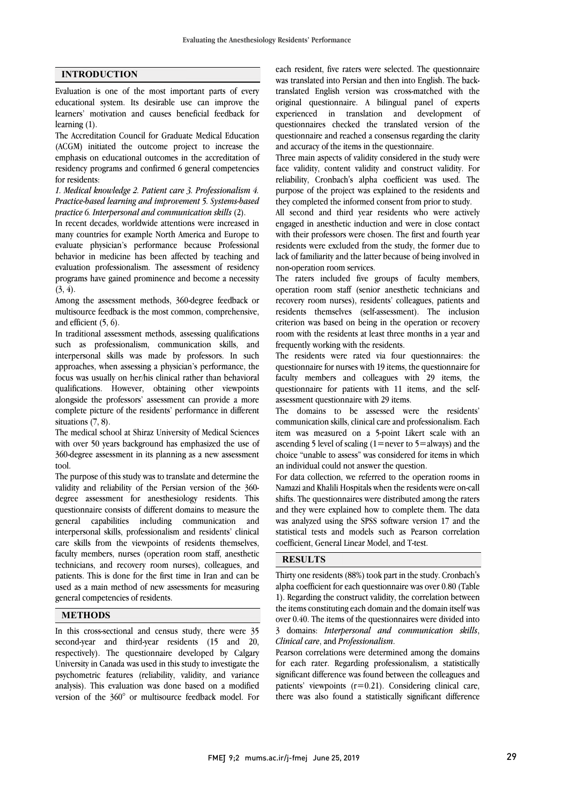### **INTRODUCTION**

Evaluation is one of the most important parts of every educational system. Its desirable use can improve the learners' motivation and causes beneficial feedback for learning (1).

The Accreditation Council for Graduate Medical Education (ACGM) initiated the outcome project to increase the emphasis on educational outcomes in the accreditation of residency programs and confirmed 6 general competencies for residents:

*1. Medical knowledge 2. Patient care 3. Professionalism 4. Practice-based learning and improvement 5. Systems-based practice 6. Interpersonal and communication skills* (2).

In recent decades, worldwide attentions were increased in many countries for example North America and Europe to evaluate physician's performance because Professional behavior in medicine has been affected by teaching and evaluation professionalism. The assessment of residency programs have gained prominence and become a necessity  $(3, 4)$ .

Among the assessment methods, 360-degree feedback or multisource feedback is the most common, comprehensive, and efficient (5, 6).

In traditional assessment methods, assessing qualifications such as professionalism, communication skills, and interpersonal skills was made by professors. In such approaches, when assessing a physician's performance, the focus was usually on her/his clinical rather than behavioral qualifications. However, obtaining other viewpoints alongside the professors' assessment can provide a more complete picture of the residents' performance in different situations  $(7, 8)$ .

The medical school at Shiraz University of Medical Sciences with over 50 years background has emphasized the use of 360-degree assessment in its planning as a new assessment tool.

The purpose of this study was to translate and determine the validity and reliability of the Persian version of the 360 degree assessment for anesthesiology residents. This questionnaire consists of different domains to measure the general capabilities including communication and interpersonal skills, professionalism and residents' clinical care skills from the viewpoints of residents themselves, faculty members, nurses (operation room staff, anesthetic technicians, and recovery room nurses), colleagues, and patients. This is done for the first time in Iran and can be used as a main method of new assessments for measuring general competencies of residents.

## **METHODS**

In this cross-sectional and census study, there were 35 second-year and third-year residents (15 and 20, respectively). The questionnaire developed by Calgary University in Canada was used in this study to investigate the psychometric features (reliability, validity, and variance analysis). This evaluation was done based on a modified version of the 360° or multisource feedback model. For

 was translated into Persian and then into English. The back- translated English version was cross-matched with the original questionnaire. A bilingual panel of experts experienced in translation and development of questionnaire and reached a consensus regarding the clarity and accuracy of the items in the questionnaire. each resident, five raters were selected. The questionnaire questionnaires checked the translated version of the

 Three main aspects of validity considered in the study were face validity, content validity and construct validity. For purpose of the project was explained to the residents and they completed the informed consent from prior to study. reliability, Cronbach's alpha coefficient was used. The

 All second and third year residents who were actively engaged in anesthetic induction and were in close contact residents were excluded from the study, the former due to lack of familiarity and the latter because of being involved in non-operation room services. with their professors were chosen. The first and fourth year

 The raters included five groups of faculty members, recovery room nurses), residents' colleagues, patients and residents themselves (self-assessment). The inclusion criterion was based on being in the operation or recovery room with the residents at least three months in a year and operation room staff (senior anesthetic technicians and frequently working with the residents.

 The residents were rated via four questionnaires: the questionnaire for nurses with 19 items, the questionnaire for faculty members and colleagues with 29 items, the questionnaire for patients with 11 items, and the selfassessment questionnaire with 29 items.

 The domains to be assessed were the residents' communication skills, clinical care and professionalism. Each item was measured on a 5-point Likert scale with an ascending 5 level of scaling  $(1=$  never to  $5=$  always) and the an individual could not answer the question. choice "unable to assess" was considered for items in which

 For data collection, we referred to the operation rooms in Namazi and Khalili Hospitals when the residents were on-call shifts. The questionnaires were distributed among the raters was analyzed using the SPSS software version 17 and the statistical tests and models such as Pearson correlation coefficient, General Linear Model, and T-test. and they were explained how to complete them. The data

# **RESULTS**

 Thirty one residents (88%) took part in the study. Cronbach's alpha coefficient for each questionnaire was over 0.80 (Table 1). Regarding the construct validity, the correlation between the items constituting each domain and the domain itself was 3 domains: *Interpersonal and communication skills*, *Clinical care*, and *Professionalism*. over 0.40. The items of the questionnaires were divided into

 Pearson correlations were determined among the domains for each rater. Regarding professionalism, a statistically patients' viewpoints (r=0.21). Considering clinical care, there was also found a statistically significant difference significant difference was found between the colleagues and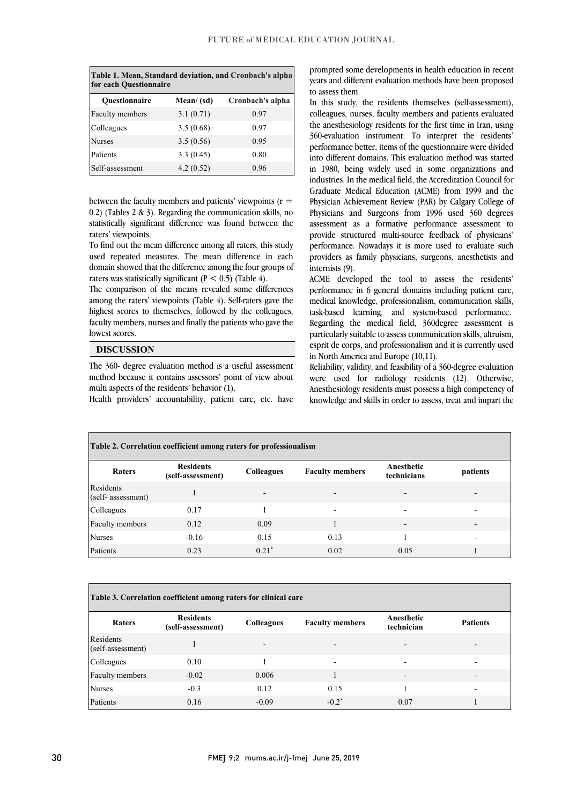0.80 0.96

| Table 1. Mean, Standard deviation, and Cronbach's alpha<br>for each Questionnaire |           |                  |  |  |
|-----------------------------------------------------------------------------------|-----------|------------------|--|--|
| <b>Ouestionnaire</b>                                                              | Mean/(sd) | Cronbach's alpha |  |  |
| Faculty members                                                                   | 3.1(0.71) | 0.97             |  |  |
| Colleagues                                                                        | 3.5(0.68) | 0.97             |  |  |
| <b>Nurses</b>                                                                     | 3.5(0.56) | 0.95             |  |  |

Patients  $3.3(0.45)$ Self-assessment  $4.2(0.52)$ 

between the faculty members and patients' viewpoints  $(r =$  0.2) (Tables 2 & 3). Regarding the communication skills, no statistically significant difference was found between the raters' viewpoints.

 To find out the mean difference among all raters, this study used repeated measures. The mean difference in each domain showed that the difference among the four groups of raters was statistically significant ( $P < 0.5$ ) (Table 4).

 among the raters' viewpoints (Table 4). Self-raters gave the highest scores to themselves, followed by the colleagues, faculty members, nurses and finally the patients who gave the The comparison of the means revealed some differences lowest scores.

### **DISCUSSION**

 The 360- degree evaluation method is a useful assessment method because it contains assessors' point of view about multi aspects of the residents' behavior (1).

Health providers' accountability, patient care, etc. have

 years and different evaluation methods have been proposed prompted some developments in health education in recent to assess them.

 In this study, the residents themselves (self-assessment), colleagues, nurses, faculty members and patients evaluated the anesthesiology residents for the first time in Iran, using performance better, items of the questionnaire were divided into different domains. This evaluation method was started in 1980, being widely used in some organizations and Graduate Medical Education (ACME) from 1999 and the Physician Achievement Review (PAR) by Calgary College of Physicians and Surgeons from 1996 used 360 degrees assessment as a formative performance assessment to provide structured multi-source feedback of physicians' providers as family physicians, surgeons, anesthetists and 360-evaluation instrument. To interpret the residents' industries. In the medical field, the Accreditation Council for performance. Nowadays it is more used to evaluate such internists (9).

 ACME developed the tool to assess the residents' performance in 0 general domains including pattent care,<br>medical knowledge, professionalism, communication skills, task-based learning, and system-based performance. Regarding the medical field, 360degree assessment is particularly suitable to assess communication skills, altruism, esprit de corps, and professionalism and it is currently used performance in 6 general domains including patient care, in North America and Europe (10,11).

 Reliability, validity, and feasibility of a 360-degree evaluation were used for radiology residents (12). Otherwise, Anesthesiology residents must possess a high competency of knowledge and skills in order to assess, treat and impart the

| <b>Table 2. Correlation coefficient among raters for professionalism</b> |                                       |                   |                        |                           |          |
|--------------------------------------------------------------------------|---------------------------------------|-------------------|------------------------|---------------------------|----------|
| Raters                                                                   | <b>Residents</b><br>(self-assessment) | <b>Colleagues</b> | <b>Faculty members</b> | Anesthetic<br>technicians | patients |
| Residents<br>(self- assessment)                                          |                                       |                   | -                      |                           |          |
| Colleagues                                                               | 0.17                                  |                   |                        |                           |          |
| Faculty members                                                          | 0.12                                  | 0.09              |                        |                           |          |
| <b>Nurses</b>                                                            | $-0.16$                               | 0.15              | 0.13                   |                           | -        |
| Patients                                                                 | 0.23                                  | $0.21*$           | 0.02                   | 0.05                      |          |

| Table 3. Correlation coefficient among raters for clinical care |                                       |                   |                        |                          |                 |
|-----------------------------------------------------------------|---------------------------------------|-------------------|------------------------|--------------------------|-----------------|
| <b>Raters</b>                                                   | <b>Residents</b><br>(self-assessment) | <b>Colleagues</b> | <b>Faculty members</b> | Anesthetic<br>technician | <b>Patients</b> |
| Residents<br>(self-assessment)                                  |                                       |                   |                        |                          |                 |
| Colleagues                                                      | 0.10                                  |                   |                        |                          |                 |
| Faculty members                                                 | $-0.02$                               | 0.006             |                        | $\overline{\phantom{0}}$ |                 |
| <b>Nurses</b>                                                   | $-0.3$                                | 0.12              | 0.15                   |                          |                 |
| Patients                                                        | 0.16                                  | $-0.09$           | $-0.2^*$               | 0.07                     |                 |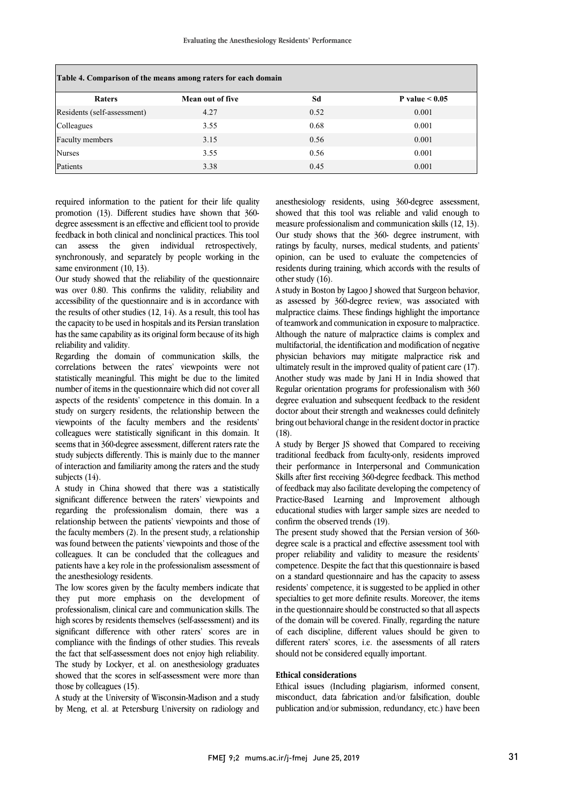$\overline{a}$ 

| Table 4. Comparison of the means among raters for each domain |                  |      |                  |  |  |
|---------------------------------------------------------------|------------------|------|------------------|--|--|
| <b>Raters</b>                                                 | Mean out of five | Sd   | P value $< 0.05$ |  |  |
| Residents (self-assessment)                                   | 4.27             | 0.52 | 0.001            |  |  |
| Colleagues                                                    | 3.55             | 0.68 | 0.001            |  |  |
| Faculty members                                               | 3.15             | 0.56 | 0.001            |  |  |
| <b>Nurses</b>                                                 | 3.55             | 0.56 | 0.001            |  |  |
| Patients                                                      | 3.38             | 0.45 | 0.001            |  |  |

required information to the patient for their life quality promotion (13). Different studies have shown that 360 degree assessment is an effective and efficient tool to provide feedback in both clinical and nonclinical practices. This tool can assess the given individual retrospectively, synchronously, and separately by people working in the same environment (10, 13).

Our study showed that the reliability of the questionnaire was over 0.80. This confirms the validity, reliability and accessibility of the questionnaire and is in accordance with the results of other studies (12, 14). As a result, this tool has the capacity to be used in hospitals and its Persian translation has the same capability as its original form because of its high reliability and validity.

Regarding the domain of communication skills, the correlations between the rates' viewpoints were not statistically meaningful. This might be due to the limited number of items in the questionnaire which did not cover all aspects of the residents' competence in this domain. In a study on surgery residents, the relationship between the viewpoints of the faculty members and the residents' colleagues were statistically significant in this domain. It seems that in 360-degree assessment, different raters rate the study subjects differently. This is mainly due to the manner of interaction and familiarity among the raters and the study subjects (14).

A study in China showed that there was a statistically significant difference between the raters' viewpoints and regarding the professionalism domain, there was a relationship between the patients' viewpoints and those of the faculty members (2). In the present study, a relationship was found between the patients' viewpoints and those of the colleagues. It can be concluded that the colleagues and patients have a key role in the professionalism assessment of the anesthesiology residents.

The low scores given by the faculty members indicate that they put more emphasis on the development of professionalism, clinical care and communication skills. The high scores by residents themselves (self-assessment) and its significant difference with other raters' scores are in compliance with the findings of other studies. This reveals the fact that self-assessment does not enjoy high reliability. The study by Lockyer, et al. on anesthesiology graduates showed that the scores in self-assessment were more than those by colleagues (15).

A study at the University of Wisconsin-Madison and a study by Meng, et al. at Petersburg University on radiology and

 anesthesiology residents, using 360-degree assessment, showed that this tool was reliable and valid enough to measure professionalism and communication skills (12, 13). ratings by faculty, nurses, medical students, and patients' opinion, can be used to evaluate the competencies of residents during training, which accords with the results of other study (16). Our study shows that the 360- degree instrument, with

 as assessed by 360-degree review, was associated with malpractice claims. These findings highlight the importance of teamwork and communication in exposure to malpractice. Although the nature of malpractice claims is complex and multifactorial, the identification and modification of negative ultimately result in the improved quality of patient care (17). Another study was made by Jani H in India showed that Regular orientation programs for professionalism with 360 doctor about their strength and weaknesses could definitely bring out behavioral change in the resident doctor in practice (18). A study in Boston by Lagoo J showed that Surgeon behavior, physician behaviors may mitigate malpractice risk and degree evaluation and subsequent feedback to the resident

 A study by Berger JS showed that Compared to receiving their performance in Interpersonal and Communication Skills after first receiving 360-degree feedback. This method of feedback may also facilitate developing the competency of Practice-Based Learning and Improvement although confirm the observed trends (19). traditional feedback from faculty-only, residents improved educational studies with larger sample sizes are needed to

 The present study showed that the Persian version of 360- degree scale is a practical and effective assessment tool with proper reliability and validity to measure the residents' residents' competence, it is suggested to be applied in other specialties to get more definite results. Moreover, the items in the questionnaire should be constructed so that all aspects of each discipline, different values should be given to different raters' scores, i.e. the assessments of all raters should not be considered equally important. competence. Despite the fact that this questionnaire is based on a standard questionnaire and has the capacity to assess of the domain will be covered. Finally, regarding the nature

### **Ethical considerations**

 publication and/or submission, redundancy, etc.) have been Ethical issues (Including plagiarism, informed consent, misconduct, data fabrication and/or falsification, double